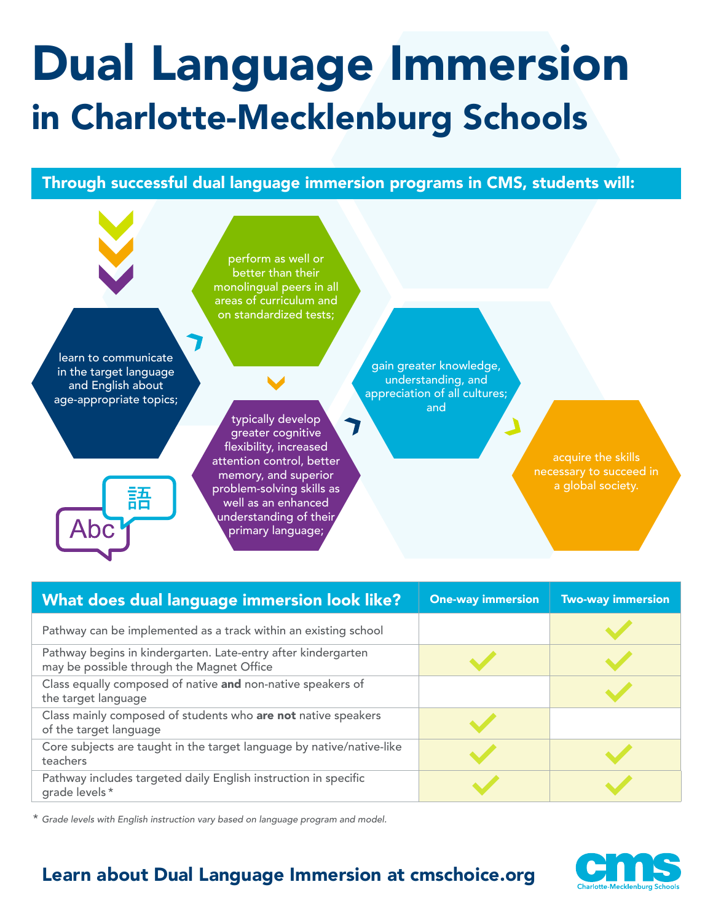## Dual Language Immersion in Charlotte-Mecklenburg Schools

Through successful dual language immersion programs in CMS, students will:



| What does dual language immersion look like?                                                               | <b>One-way immersion</b> | <b>Two-way immersion</b> |
|------------------------------------------------------------------------------------------------------------|--------------------------|--------------------------|
| Pathway can be implemented as a track within an existing school                                            |                          |                          |
| Pathway begins in kindergarten. Late-entry after kindergarten<br>may be possible through the Magnet Office |                          |                          |
| Class equally composed of native and non-native speakers of<br>the target language                         |                          |                          |
| Class mainly composed of students who are not native speakers<br>of the target language                    |                          |                          |
| Core subjects are taught in the target language by native/native-like<br>teachers                          |                          |                          |
| Pathway includes targeted daily English instruction in specific<br>grade levels *                          |                          |                          |

\* *Grade levels with English instruction vary based on language program and model.*

## Learn about Dual Language Immersion at cmschoice.org